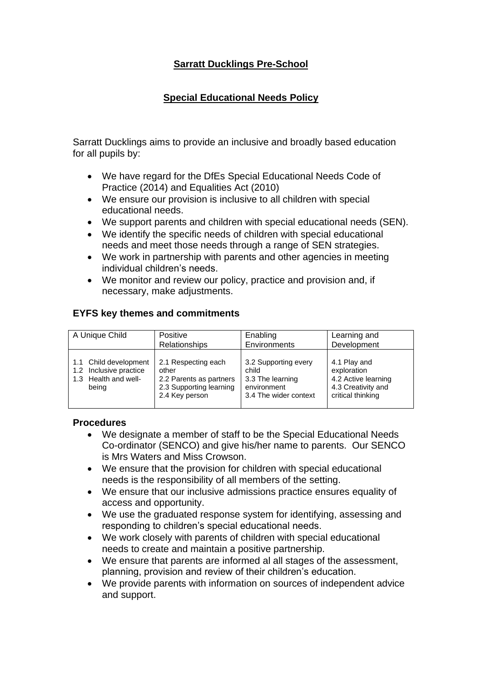## **Sarratt Ducklings Pre-School**

## **Special Educational Needs Policy**

Sarratt Ducklings aims to provide an inclusive and broadly based education for all pupils by:

- We have regard for the DfEs Special Educational Needs Code of Practice (2014) and Equalities Act (2010)
- We ensure our provision is inclusive to all children with special educational needs.
- We support parents and children with special educational needs (SEN).
- We identify the specific needs of children with special educational needs and meet those needs through a range of SEN strategies.
- We work in partnership with parents and other agencies in meeting individual children's needs.
- We monitor and review our policy, practice and provision and, if necessary, make adjustments.

## **EYFS key themes and commitments**

| A Unique Child        | Positive                | Enabling              | Learning and        |
|-----------------------|-------------------------|-----------------------|---------------------|
|                       | Relationships           | Environments          | Development         |
| 1.1 Child development | 2.1 Respecting each     | 3.2 Supporting every  | 4.1 Play and        |
| Inclusive practice    | other                   | child                 | exploration         |
| 1.2 <sub>1</sub>      | 2.2 Parents as partners | 3.3 The learning      | 4.2 Active learning |
| 1.3 Health and well-  | 2.3 Supporting learning | environment           | 4.3 Creativity and  |
| being                 | 2.4 Key person          | 3.4 The wider context | critical thinking   |

## **Procedures**

- We designate a member of staff to be the Special Educational Needs Co-ordinator (SENCO) and give his/her name to parents. Our SENCO is Mrs Waters and Miss Crowson.
- We ensure that the provision for children with special educational needs is the responsibility of all members of the setting.
- We ensure that our inclusive admissions practice ensures equality of access and opportunity.
- We use the graduated response system for identifying, assessing and responding to children's special educational needs.
- We work closely with parents of children with special educational needs to create and maintain a positive partnership.
- We ensure that parents are informed al all stages of the assessment, planning, provision and review of their children's education.
- We provide parents with information on sources of independent advice and support.